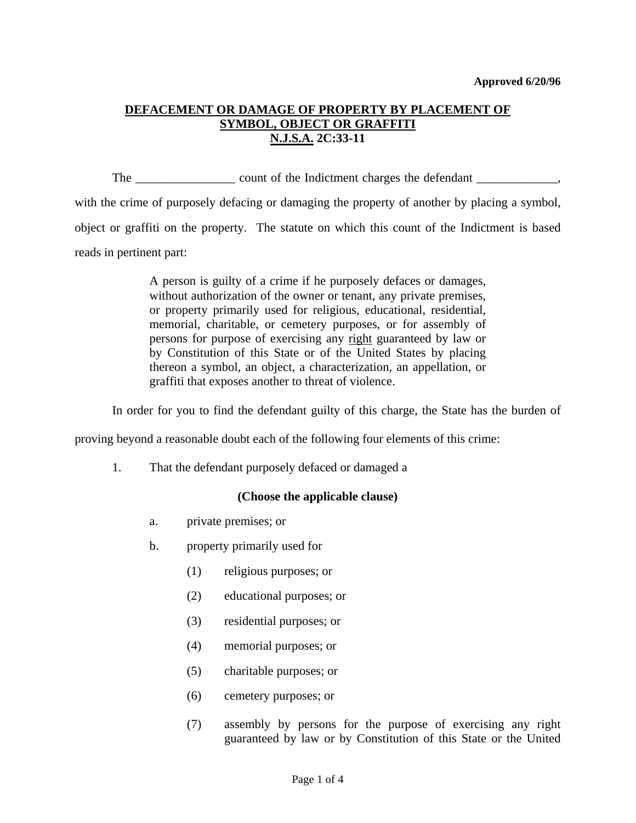# **DEFACEMENT OR DAMAGE OF PROPERTY BY PLACEMENT OF SYMBOL, OBJECT OR GRAFFITI N.J.S.A. 2C:33-11**

The count of the Indictment charges the defendant

with the crime of purposely defacing or damaging the property of another by placing a symbol, object or graffiti on the property. The statute on which this count of the Indictment is based reads in pertinent part:

> A person is guilty of a crime if he purposely defaces or damages, without authorization of the owner or tenant, any private premises, or property primarily used for religious, educational, residential, memorial, charitable, or cemetery purposes, or for assembly of persons for purpose of exercising any right guaranteed by law or by Constitution of this State or of the United States by placing thereon a symbol, an object, a characterization, an appellation, or graffiti that exposes another to threat of violence.

In order for you to find the defendant guilty of this charge, the State has the burden of

proving beyond a reasonable doubt each of the following four elements of this crime:

1. That the defendant purposely defaced or damaged a

## **(Choose the applicable clause)**

- a. private premises; or
- b. property primarily used for
	- (1) religious purposes; or
	- (2) educational purposes; or
	- (3) residential purposes; or
	- (4) memorial purposes; or
	- (5) charitable purposes; or
	- (6) cemetery purposes; or
	- (7) assembly by persons for the purpose of exercising any right guaranteed by law or by Constitution of this State or the United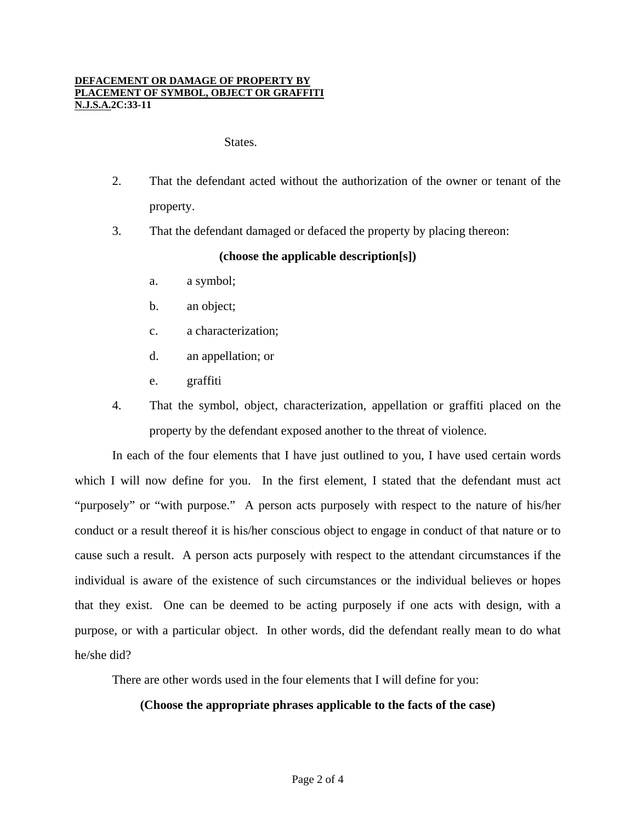#### **DEFACEMENT OR DAMAGE OF PROPERTY BY PLACEMENT OF SYMBOL, OBJECT OR GRAFFITI N.J.S.A.2C:33-11**

#### States.

- 2. That the defendant acted without the authorization of the owner or tenant of the property.
- 3. That the defendant damaged or defaced the property by placing thereon:

### **(choose the applicable description[s])**

- a. a symbol;
- b. an object;
- c. a characterization;
- d. an appellation; or
- e. graffiti
- 4. That the symbol, object, characterization, appellation or graffiti placed on the property by the defendant exposed another to the threat of violence.

 In each of the four elements that I have just outlined to you, I have used certain words which I will now define for you. In the first element, I stated that the defendant must act "purposely" or "with purpose." A person acts purposely with respect to the nature of his/her conduct or a result thereof it is his/her conscious object to engage in conduct of that nature or to cause such a result. A person acts purposely with respect to the attendant circumstances if the individual is aware of the existence of such circumstances or the individual believes or hopes that they exist. One can be deemed to be acting purposely if one acts with design, with a purpose, or with a particular object. In other words, did the defendant really mean to do what he/she did?

There are other words used in the four elements that I will define for you:

### **(Choose the appropriate phrases applicable to the facts of the case)**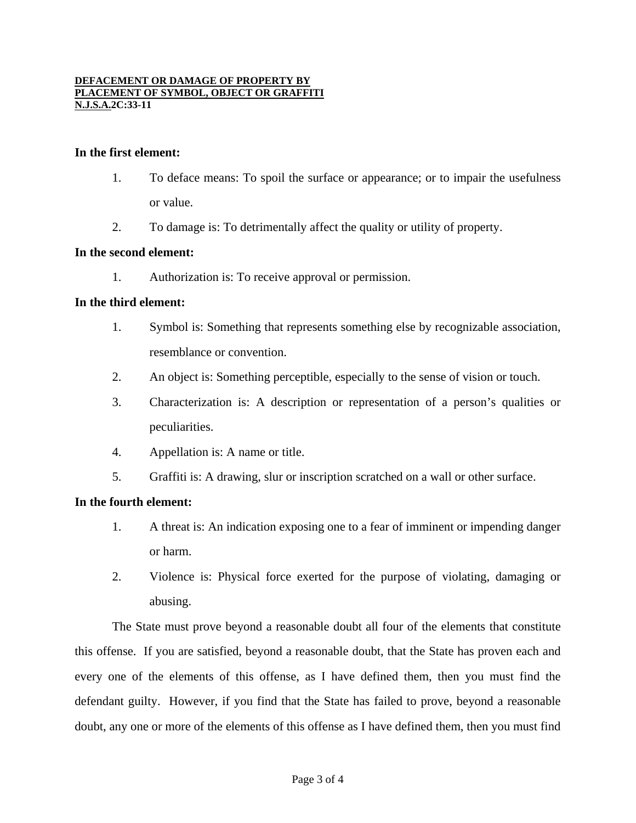#### **DEFACEMENT OR DAMAGE OF PROPERTY BY PLACEMENT OF SYMBOL, OBJECT OR GRAFFITI N.J.S.A.2C:33-11**

### **In the first element:**

- 1. To deface means: To spoil the surface or appearance; or to impair the usefulness or value.
- 2. To damage is: To detrimentally affect the quality or utility of property.

### **In the second element:**

1. Authorization is: To receive approval or permission.

### **In the third element:**

- 1. Symbol is: Something that represents something else by recognizable association, resemblance or convention.
- 2. An object is: Something perceptible, especially to the sense of vision or touch.
- 3. Characterization is: A description or representation of a person's qualities or peculiarities.
- 4. Appellation is: A name or title.
- 5. Graffiti is: A drawing, slur or inscription scratched on a wall or other surface.

### **In the fourth element:**

- 1. A threat is: An indication exposing one to a fear of imminent or impending danger or harm.
- 2. Violence is: Physical force exerted for the purpose of violating, damaging or abusing.

 The State must prove beyond a reasonable doubt all four of the elements that constitute this offense. If you are satisfied, beyond a reasonable doubt, that the State has proven each and every one of the elements of this offense, as I have defined them, then you must find the defendant guilty. However, if you find that the State has failed to prove, beyond a reasonable doubt, any one or more of the elements of this offense as I have defined them, then you must find